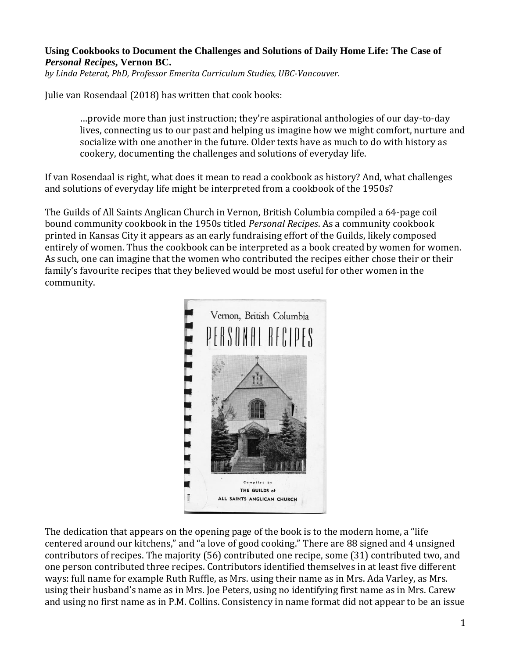#### **Using Cookbooks to Document the Challenges and Solutions of Daily Home Life: The Case of**  *Personal Recipes***, Vernon BC.**

*by Linda Peterat, PhD, Professor Emerita Curriculum Studies, UBC-Vancouver.*

Julie van Rosendaal (2018) has written that cook books:

…provide more than just instruction; they're aspirational anthologies of our day-to-day lives, connecting us to our past and helping us imagine how we might comfort, nurture and socialize with one another in the future. Older texts have as much to do with history as cookery, documenting the challenges and solutions of everyday life.

If van Rosendaal is right, what does it mean to read a cookbook as history? And, what challenges and solutions of everyday life might be interpreted from a cookbook of the 1950s?

The Guilds of All Saints Anglican Church in Vernon, British Columbia compiled a 64-page coil bound community cookbook in the 1950s titled *Personal Recipes*. As a community cookbook printed in Kansas City it appears as an early fundraising effort of the Guilds, likely composed entirely of women. Thus the cookbook can be interpreted as a book created by women for women. As such, one can imagine that the women who contributed the recipes either chose their or their family's favourite recipes that they believed would be most useful for other women in the community.



The dedication that appears on the opening page of the book is to the modern home, a "life centered around our kitchens," and "a love of good cooking." There are 88 signed and 4 unsigned contributors of recipes. The majority (56) contributed one recipe, some (31) contributed two, and one person contributed three recipes. Contributors identified themselves in at least five different ways: full name for example Ruth Ruffle, as Mrs. using their name as in Mrs. Ada Varley, as Mrs. using their husband's name as in Mrs. Joe Peters, using no identifying first name as in Mrs. Carew and using no first name as in P.M. Collins. Consistency in name format did not appear to be an issue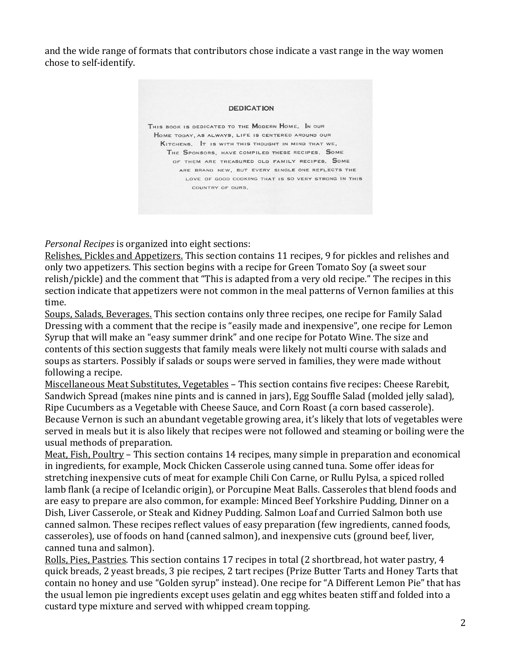and the wide range of formats that contributors chose indicate a vast range in the way women chose to self-identify.

# **DEDICATION** THIS BOOK IS DEDICATED TO THE MODERN HOME. IN OUR HOME TODAY, AS ALWAYS, LIFE IS CENTERED AROUND OUR KITCHENS. IT IS WITH THIS THOUGHT IN MIND THAT WE, THE SPONSORS, HAVE COMPILED THESE RECIPES. SOME OF THEM ARE TREASURED OLD FAMILY RECIPES. SOME ARE BRAND NEW, BUT EVERY SINGLE ONE REFLECTS THE LOVE OF GOOD COOKING THAT IS SO VERY STRONG IN THIS COUNTRY OF OURS.

*Personal Recipes* is organized into eight sections:

Relishes, Pickles and Appetizers. This section contains 11 recipes, 9 for pickles and relishes and only two appetizers. This section begins with a recipe for Green Tomato Soy (a sweet sour relish/pickle) and the comment that "This is adapted from a very old recipe." The recipes in this section indicate that appetizers were not common in the meal patterns of Vernon families at this time.

Soups, Salads, Beverages. This section contains only three recipes, one recipe for Family Salad Dressing with a comment that the recipe is "easily made and inexpensive", one recipe for Lemon Syrup that will make an "easy summer drink" and one recipe for Potato Wine. The size and contents of this section suggests that family meals were likely not multi course with salads and soups as starters. Possibly if salads or soups were served in families, they were made without following a recipe.

Miscellaneous Meat Substitutes, Vegetables – This section contains five recipes: Cheese Rarebit, Sandwich Spread (makes nine pints and is canned in jars), Egg Souffle Salad (molded jelly salad), Ripe Cucumbers as a Vegetable with Cheese Sauce, and Corn Roast (a corn based casserole). Because Vernon is such an abundant vegetable growing area, it's likely that lots of vegetables were served in meals but it is also likely that recipes were not followed and steaming or boiling were the usual methods of preparation.

Meat, Fish, Poultry – This section contains 14 recipes, many simple in preparation and economical in ingredients, for example, Mock Chicken Casserole using canned tuna. Some offer ideas for stretching inexpensive cuts of meat for example Chili Con Carne, or Rullu Pylsa, a spiced rolled lamb flank (a recipe of Icelandic origin), or Porcupine Meat Balls. Casseroles that blend foods and are easy to prepare are also common, for example: Minced Beef Yorkshire Pudding, Dinner on a Dish, Liver Casserole, or Steak and Kidney Pudding. Salmon Loaf and Curried Salmon both use canned salmon. These recipes reflect values of easy preparation (few ingredients, canned foods, casseroles), use of foods on hand (canned salmon), and inexpensive cuts (ground beef, liver, canned tuna and salmon).

Rolls, Pies, Pastries. This section contains 17 recipes in total (2 shortbread, hot water pastry, 4 quick breads, 2 yeast breads, 3 pie recipes, 2 tart recipes (Prize Butter Tarts and Honey Tarts that contain no honey and use "Golden syrup" instead). One recipe for "A Different Lemon Pie" that has the usual lemon pie ingredients except uses gelatin and egg whites beaten stiff and folded into a custard type mixture and served with whipped cream topping.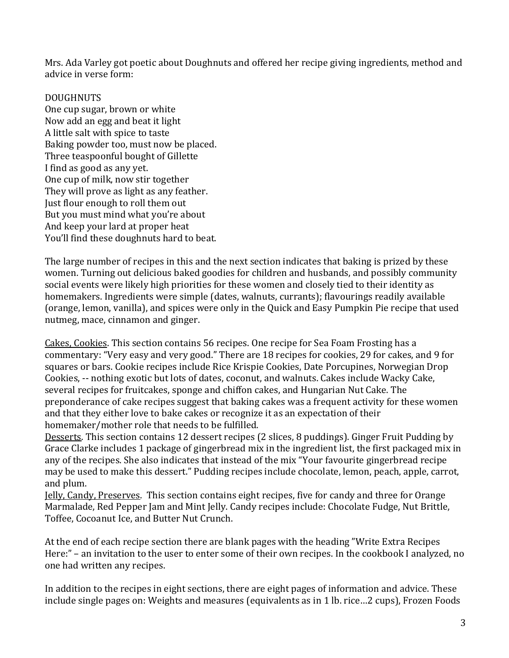Mrs. Ada Varley got poetic about Doughnuts and offered her recipe giving ingredients, method and advice in verse form:

### **DOUGHNUTS**

One cup sugar, brown or white Now add an egg and beat it light A little salt with spice to taste Baking powder too, must now be placed. Three teaspoonful bought of Gillette I find as good as any yet. One cup of milk, now stir together They will prove as light as any feather. Just flour enough to roll them out But you must mind what you're about And keep your lard at proper heat You'll find these doughnuts hard to beat.

The large number of recipes in this and the next section indicates that baking is prized by these women. Turning out delicious baked goodies for children and husbands, and possibly community social events were likely high priorities for these women and closely tied to their identity as homemakers. Ingredients were simple (dates, walnuts, currants); flavourings readily available (orange, lemon, vanilla), and spices were only in the Quick and Easy Pumpkin Pie recipe that used nutmeg, mace, cinnamon and ginger.

Cakes, Cookies. This section contains 56 recipes. One recipe for Sea Foam Frosting has a commentary: "Very easy and very good." There are 18 recipes for cookies, 29 for cakes, and 9 for squares or bars. Cookie recipes include Rice Krispie Cookies, Date Porcupines, Norwegian Drop Cookies, -- nothing exotic but lots of dates, coconut, and walnuts. Cakes include Wacky Cake, several recipes for fruitcakes, sponge and chiffon cakes, and Hungarian Nut Cake. The preponderance of cake recipes suggest that baking cakes was a frequent activity for these women and that they either love to bake cakes or recognize it as an expectation of their homemaker/mother role that needs to be fulfilled.

Desserts. This section contains 12 dessert recipes (2 slices, 8 puddings). Ginger Fruit Pudding by Grace Clarke includes 1 package of gingerbread mix in the ingredient list, the first packaged mix in any of the recipes. She also indicates that instead of the mix "Your favourite gingerbread recipe may be used to make this dessert." Pudding recipes include chocolate, lemon, peach, apple, carrot, and plum.

Jelly, Candy, Preserves. This section contains eight recipes, five for candy and three for Orange Marmalade, Red Pepper Jam and Mint Jelly. Candy recipes include: Chocolate Fudge, Nut Brittle, Toffee, Cocoanut Ice, and Butter Nut Crunch.

At the end of each recipe section there are blank pages with the heading "Write Extra Recipes Here:" – an invitation to the user to enter some of their own recipes. In the cookbook I analyzed, no one had written any recipes.

In addition to the recipes in eight sections, there are eight pages of information and advice. These include single pages on: Weights and measures (equivalents as in 1 lb. rice…2 cups), Frozen Foods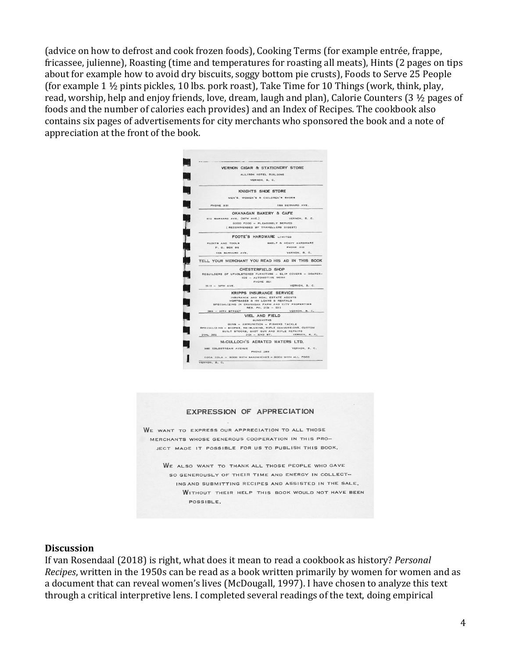(advice on how to defrost and cook frozen foods), Cooking Terms (for example entrée, frappe, fricassee, julienne), Roasting (time and temperatures for roasting all meats), Hints (2 pages on tips about for example how to avoid dry biscuits, soggy bottom pie crusts), Foods to Serve 25 People (for example 1 ½ pints pickles, 10 lbs. pork roast), Take Time for 10 Things (work, think, play, read, worship, help and enjoy friends, love, dream, laugh and plan), Calorie Counters (3 ½ pages of foods and the number of calories each provides) and an Index of Recipes. The cookbook also contains six pages of advertisements for city merchants who sponsored the book and a note of appreciation at the front of the book.



#### **EXPRESSION OF APPRECIATION**

WE WANT TO EXPRESS OUR APPRECIATION TO ALL THOSE MERCHANTS WHOSE GENEROUS COOPERATION IN THIS PRO-JECT MADE IT POSSIBLE FOR US TO PUBLISH THIS BOOK,

WE ALSO WANT TO THANK ALL THOSE PEOPLE WHO GAVE SO GENEROUSLY OF THEIR TIME AND ENERGY IN COLLECT-ING AND SUBMITTING RECIPES AND ASSISTED IN THE SALE. WITHOUT THEIR HELP THIS BOOK WOULD NOT HAVE BEEN POSSIBLE.

#### **Discussion**

If van Rosendaal (2018) is right, what does it mean to read a cookbook as history? *Personal Recipes*, written in the 1950s can be read as a book written primarily by women for women and as a document that can reveal women's lives (McDougall, 1997). I have chosen to analyze this text through a critical interpretive lens. I completed several readings of the text, doing empirical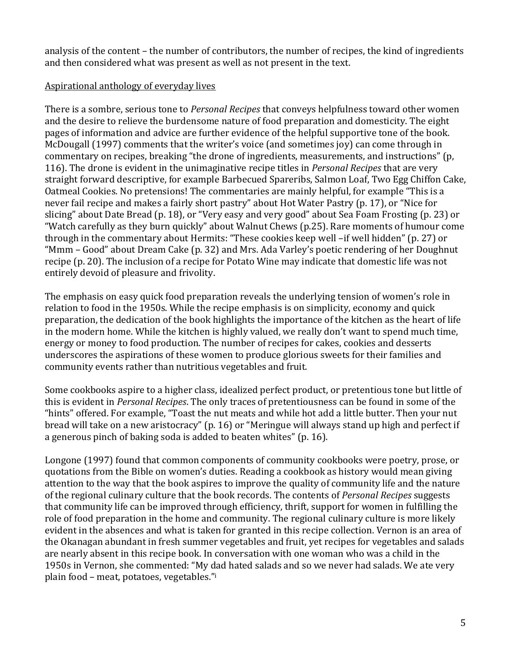analysis of the content – the number of contributors, the number of recipes, the kind of ingredients and then considered what was present as well as not present in the text.

# Aspirational anthology of everyday lives

There is a sombre, serious tone to *Personal Recipes* that conveys helpfulness toward other women and the desire to relieve the burdensome nature of food preparation and domesticity. The eight pages of information and advice are further evidence of the helpful supportive tone of the book. McDougall (1997) comments that the writer's voice (and sometimes joy) can come through in commentary on recipes, breaking "the drone of ingredients, measurements, and instructions" (p, 116). The drone is evident in the unimaginative recipe titles in *Personal Recipes* that are very straight forward descriptive, for example Barbecued Spareribs, Salmon Loaf, Two Egg Chiffon Cake, Oatmeal Cookies. No pretensions! The commentaries are mainly helpful, for example "This is a never fail recipe and makes a fairly short pastry" about Hot Water Pastry (p. 17), or "Nice for slicing" about Date Bread (p. 18), or "Very easy and very good" about Sea Foam Frosting (p. 23) or "Watch carefully as they burn quickly" about Walnut Chews (p.25). Rare moments of humour come through in the commentary about Hermits: "These cookies keep well –if well hidden" (p. 27) or "Mmm – Good" about Dream Cake (p. 32) and Mrs. Ada Varley's poetic rendering of her Doughnut recipe (p. 20). The inclusion of a recipe for Potato Wine may indicate that domestic life was not entirely devoid of pleasure and frivolity.

The emphasis on easy quick food preparation reveals the underlying tension of women's role in relation to food in the 1950s. While the recipe emphasis is on simplicity, economy and quick preparation, the dedication of the book highlights the importance of the kitchen as the heart of life in the modern home. While the kitchen is highly valued, we really don't want to spend much time, energy or money to food production. The number of recipes for cakes, cookies and desserts underscores the aspirations of these women to produce glorious sweets for their families and community events rather than nutritious vegetables and fruit.

Some cookbooks aspire to a higher class, idealized perfect product, or pretentious tone but little of this is evident in *Personal Recipes*. The only traces of pretentiousness can be found in some of the "hints" offered. For example, "Toast the nut meats and while hot add a little butter. Then your nut bread will take on a new aristocracy" (p. 16) or "Meringue will always stand up high and perfect if a generous pinch of baking soda is added to beaten whites" (p. 16).

Longone (1997) found that common components of community cookbooks were poetry, prose, or quotations from the Bible on women's duties. Reading a cookbook as history would mean giving attention to the way that the book aspires to improve the quality of community life and the nature of the regional culinary culture that the book records. The contents of *Personal Recipes* suggests that community life can be improved through efficiency, thrift, support for women in fulfilling the role of food preparation in the home and community. The regional culinary culture is more likely evident in the absences and what is taken for granted in this recipe collection. Vernon is an area of the Okanagan abundant in fresh summer vegetables and fruit, yet recipes for vegetables and salads are nearly absent in this recipe book. In conversation with one woman who was a child in the 1950s in Vernon, she commented: "My dad hated salads and so we never had salads. We ate very plain food – meat, potatoes, vegetables."<sup>i</sup>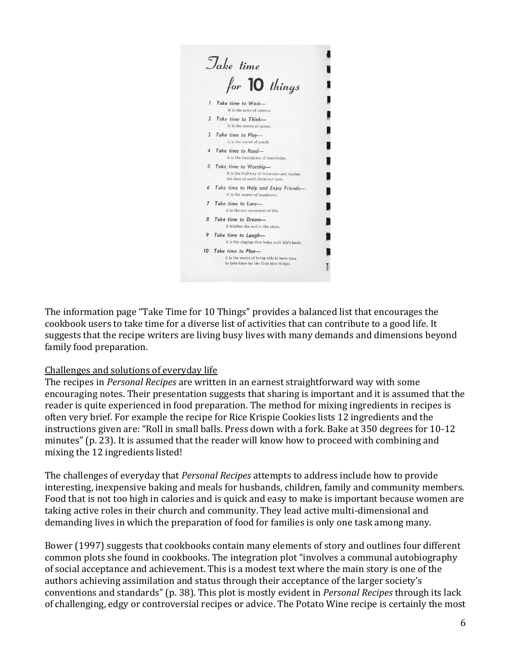

The information page "Take Time for 10 Things" provides a balanced list that encourages the cookbook users to take time for a diverse list of activities that can contribute to a good life. It suggests that the recipe writers are living busy lives with many demands and dimensions beyond family food preparation.

### Challenges and solutions of everyday life

The recipes in *Personal Recipes* are written in an earnest straightforward way with some encouraging notes. Their presentation suggests that sharing is important and it is assumed that the reader is quite experienced in food preparation. The method for mixing ingredients in recipes is often very brief. For example the recipe for Rice Krispie Cookies lists 12 ingredients and the instructions given are: "Roll in small balls. Press down with a fork. Bake at 350 degrees for 10-12 minutes" (p. 23). It is assumed that the reader will know how to proceed with combining and mixing the 12 ingredients listed!

The challenges of everyday that *Personal Recipes* attempts to address include how to provide interesting, inexpensive baking and meals for husbands, children, family and community members. Food that is not too high in calories and is quick and easy to make is important because women are taking active roles in their church and community. They lead active multi-dimensional and demanding lives in which the preparation of food for families is only one task among many.

Bower (1997) suggests that cookbooks contain many elements of story and outlines four different common plots she found in cookbooks. The integration plot "involves a communal autobiography of social acceptance and achievement. This is a modest text where the main story is one of the authors achieving assimilation and status through their acceptance of the larger society's conventions and standards" (p. 38). This plot is mostly evident in *Personal Recipes* through its lack of challenging, edgy or controversial recipes or advice. The Potato Wine recipe is certainly the most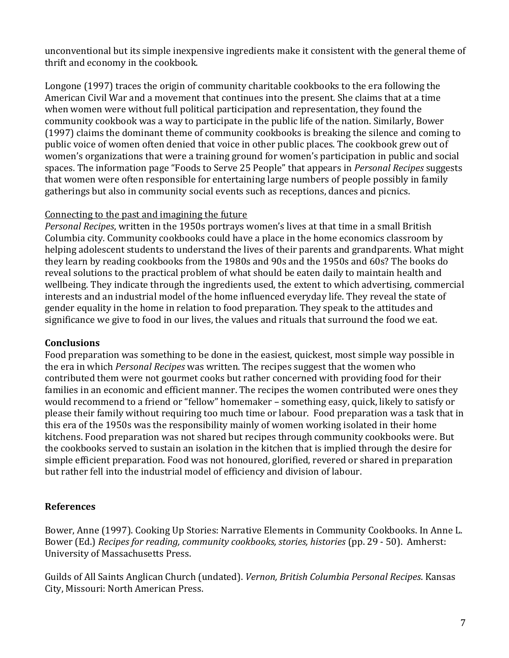unconventional but its simple inexpensive ingredients make it consistent with the general theme of thrift and economy in the cookbook.

Longone (1997) traces the origin of community charitable cookbooks to the era following the American Civil War and a movement that continues into the present. She claims that at a time when women were without full political participation and representation, they found the community cookbook was a way to participate in the public life of the nation. Similarly, Bower (1997) claims the dominant theme of community cookbooks is breaking the silence and coming to public voice of women often denied that voice in other public places. The cookbook grew out of women's organizations that were a training ground for women's participation in public and social spaces. The information page "Foods to Serve 25 People" that appears in *Personal Recipes* suggests that women were often responsible for entertaining large numbers of people possibly in family gatherings but also in community social events such as receptions, dances and picnics.

## Connecting to the past and imagining the future

*Personal Recipes*, written in the 1950s portrays women's lives at that time in a small British Columbia city. Community cookbooks could have a place in the home economics classroom by helping adolescent students to understand the lives of their parents and grandparents. What might they learn by reading cookbooks from the 1980s and 90s and the 1950s and 60s? The books do reveal solutions to the practical problem of what should be eaten daily to maintain health and wellbeing. They indicate through the ingredients used, the extent to which advertising, commercial interests and an industrial model of the home influenced everyday life. They reveal the state of gender equality in the home in relation to food preparation. They speak to the attitudes and significance we give to food in our lives, the values and rituals that surround the food we eat.

# **Conclusions**

Food preparation was something to be done in the easiest, quickest, most simple way possible in the era in which *Personal Recipes* was written. The recipes suggest that the women who contributed them were not gourmet cooks but rather concerned with providing food for their families in an economic and efficient manner. The recipes the women contributed were ones they would recommend to a friend or "fellow" homemaker – something easy, quick, likely to satisfy or please their family without requiring too much time or labour. Food preparation was a task that in this era of the 1950s was the responsibility mainly of women working isolated in their home kitchens. Food preparation was not shared but recipes through community cookbooks were. But the cookbooks served to sustain an isolation in the kitchen that is implied through the desire for simple efficient preparation. Food was not honoured, glorified, revered or shared in preparation but rather fell into the industrial model of efficiency and division of labour.

# **References**

Bower, Anne (1997). Cooking Up Stories: Narrative Elements in Community Cookbooks. In Anne L. Bower (Ed.) *Recipes for reading, community cookbooks, stories, histories* (pp. 29 - 50). Amherst: University of Massachusetts Press.

Guilds of All Saints Anglican Church (undated). *Vernon, British Columbia Personal Recipes*. Kansas City, Missouri: North American Press.